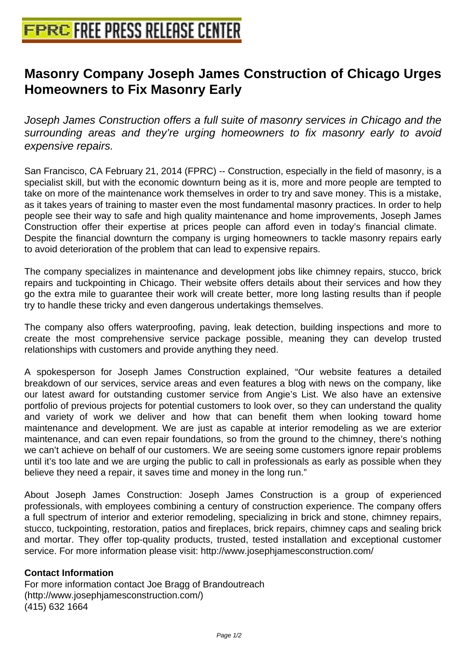## **[Masonry Company Joseph James](http://www.free-press-release-center.info) Construction of Chicago Urges Homeowners to Fix Masonry Early**

Joseph James Construction offers a full suite of masonry services in Chicago and the surrounding areas and they're urging homeowners to fix masonry early to avoid expensive repairs.

San Francisco, CA February 21, 2014 (FPRC) -- Construction, especially in the field of masonry, is a specialist skill, but with the economic downturn being as it is, more and more people are tempted to take on more of the maintenance work themselves in order to try and save money. This is a mistake, as it takes years of training to master even the most fundamental masonry practices. In order to help people see their way to safe and high quality maintenance and home improvements, Joseph James Construction offer their expertise at prices people can afford even in today's financial climate. Despite the financial downturn the company is urging homeowners to tackle masonry repairs early to avoid deterioration of the problem that can lead to expensive repairs.

The company specializes in maintenance and development jobs like chimney repairs, stucco, brick repairs and tuckpointing in Chicago. Their website offers details about their services and how they go the extra mile to guarantee their work will create better, more long lasting results than if people try to handle these tricky and even dangerous undertakings themselves.

The company also offers waterproofing, paving, leak detection, building inspections and more to create the most comprehensive service package possible, meaning they can develop trusted relationships with customers and provide anything they need.

A spokesperson for Joseph James Construction explained, "Our website features a detailed breakdown of our services, service areas and even features a blog with news on the company, like our latest award for outstanding customer service from Angie's List. We also have an extensive portfolio of previous projects for potential customers to look over, so they can understand the quality and variety of work we deliver and how that can benefit them when looking toward home maintenance and development. We are just as capable at interior remodeling as we are exterior maintenance, and can even repair foundations, so from the ground to the chimney, there's nothing we can't achieve on behalf of our customers. We are seeing some customers ignore repair problems until it's too late and we are urging the public to call in professionals as early as possible when they believe they need a repair, it saves time and money in the long run."

About Joseph James Construction: Joseph James Construction is a group of experienced professionals, with employees combining a century of construction experience. The company offers a full spectrum of interior and exterior remodeling, specializing in brick and stone, chimney repairs, stucco, tuckpointing, restoration, patios and fireplaces, brick repairs, chimney caps and sealing brick and mortar. They offer top-quality products, trusted, tested installation and exceptional customer service. For more information please visit: http://www.josephjamesconstruction.com/

## **Contact Information**

For more information contact Joe Bragg of Brandoutreach (http://www.josephjamesconstruction.com/) (415) 632 1664